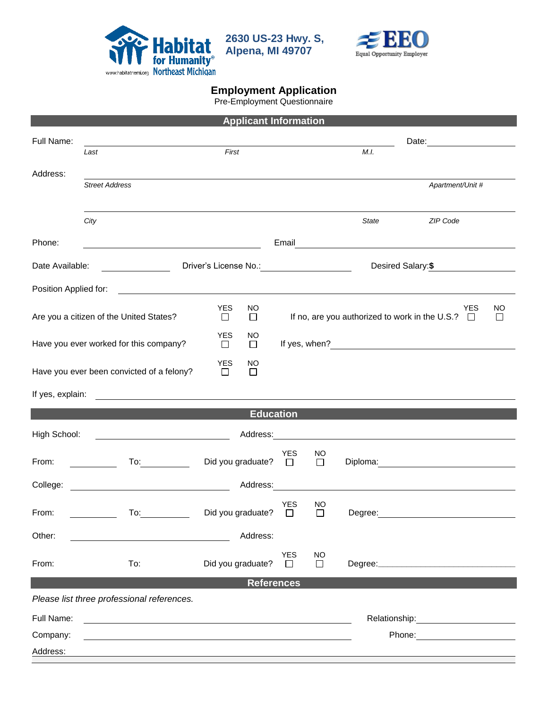

**2630 US-23 Hwy. S, Alpena, MI 49707**



## **Employment Application**

Pre-Employment Questionnaire

| <b>Applicant Information</b>                                                                        |                                                                                                                                                                                                                                      |                                                    |                                                                         |                     |         |                                                                                                                                                                                                                                |  |  |  |
|-----------------------------------------------------------------------------------------------------|--------------------------------------------------------------------------------------------------------------------------------------------------------------------------------------------------------------------------------------|----------------------------------------------------|-------------------------------------------------------------------------|---------------------|---------|--------------------------------------------------------------------------------------------------------------------------------------------------------------------------------------------------------------------------------|--|--|--|
| Full Name:                                                                                          |                                                                                                                                                                                                                                      |                                                    |                                                                         |                     |         | Date: <u>__________________________</u>                                                                                                                                                                                        |  |  |  |
|                                                                                                     | Last                                                                                                                                                                                                                                 | First                                              |                                                                         |                     | M.I.    |                                                                                                                                                                                                                                |  |  |  |
| Address:                                                                                            | <b>Street Address</b>                                                                                                                                                                                                                |                                                    |                                                                         |                     |         | Apartment/Unit #                                                                                                                                                                                                               |  |  |  |
|                                                                                                     |                                                                                                                                                                                                                                      |                                                    |                                                                         |                     |         |                                                                                                                                                                                                                                |  |  |  |
|                                                                                                     | City                                                                                                                                                                                                                                 |                                                    |                                                                         |                     | State   | ZIP Code                                                                                                                                                                                                                       |  |  |  |
| Phone:                                                                                              |                                                                                                                                                                                                                                      |                                                    | Email                                                                   |                     |         | <u> 1989 - Johann Stein, fransk politik (d. 1989)</u>                                                                                                                                                                          |  |  |  |
| Date Available:                                                                                     | <u>and the community of the community of the community of the community of the community of the community of the community of the community of the community of the community of the community of the community of the community</u> | Driver's License No.: <u>_____________________</u> |                                                                         |                     |         | Desired Salary:\$                                                                                                                                                                                                              |  |  |  |
| Position Applied for:<br><u> 1980 - Andrea Station Barbara, amerikan personal (h. 1980)</u>         |                                                                                                                                                                                                                                      |                                                    |                                                                         |                     |         |                                                                                                                                                                                                                                |  |  |  |
|                                                                                                     | Are you a citizen of the United States?                                                                                                                                                                                              | <b>YES</b><br>NO.<br>□<br>□                        | YES<br>NO<br>If no, are you authorized to work in the U.S.? $\Box$<br>□ |                     |         |                                                                                                                                                                                                                                |  |  |  |
| Have you ever worked for this company?                                                              |                                                                                                                                                                                                                                      | <b>YES</b><br>NO<br>$\Box$<br>□                    |                                                                         |                     |         |                                                                                                                                                                                                                                |  |  |  |
|                                                                                                     | Have you ever been convicted of a felony?                                                                                                                                                                                            | <b>YES</b><br>NO<br>□<br>$\Box$                    |                                                                         |                     |         |                                                                                                                                                                                                                                |  |  |  |
| If yes, explain:<br>the contract of the contract of the contract of the contract of the contract of |                                                                                                                                                                                                                                      |                                                    |                                                                         |                     |         |                                                                                                                                                                                                                                |  |  |  |
| <b>Education</b>                                                                                    |                                                                                                                                                                                                                                      |                                                    |                                                                         |                     |         |                                                                                                                                                                                                                                |  |  |  |
| High School:                                                                                        |                                                                                                                                                                                                                                      |                                                    |                                                                         |                     |         |                                                                                                                                                                                                                                |  |  |  |
| From:                                                                                               | To: the contract of the contract of the contract of the contract of the contract of the contract of the contract of the contract of the contract of the contract of the contract of the contract of the contract of the contra       | Did you graduate? $\square$                        | YES                                                                     | <b>NO</b><br>$\Box$ |         | Diploma: the contract of the contract of the contract of the contract of the contract of the contract of the contract of the contract of the contract of the contract of the contract of the contract of the contract of the c |  |  |  |
| College:                                                                                            |                                                                                                                                                                                                                                      | Address:                                           |                                                                         |                     |         |                                                                                                                                                                                                                                |  |  |  |
| From:                                                                                               | To:                                                                                                                                                                                                                                  | Did you graduate?                                  | <b>YES</b><br>$\Box$                                                    | NO<br>$\mathsf{L}$  | Degree: |                                                                                                                                                                                                                                |  |  |  |
| Other:                                                                                              |                                                                                                                                                                                                                                      | Address:                                           |                                                                         |                     |         |                                                                                                                                                                                                                                |  |  |  |
| From:                                                                                               | To:                                                                                                                                                                                                                                  | Did you graduate?                                  | <b>YES</b><br>$\Box$                                                    | NO<br>$\Box$        |         |                                                                                                                                                                                                                                |  |  |  |
| <b>References</b>                                                                                   |                                                                                                                                                                                                                                      |                                                    |                                                                         |                     |         |                                                                                                                                                                                                                                |  |  |  |
|                                                                                                     | Please list three professional references.                                                                                                                                                                                           |                                                    |                                                                         |                     |         |                                                                                                                                                                                                                                |  |  |  |
| Full Name:                                                                                          |                                                                                                                                                                                                                                      |                                                    |                                                                         |                     |         |                                                                                                                                                                                                                                |  |  |  |
| Company:                                                                                            |                                                                                                                                                                                                                                      |                                                    |                                                                         |                     |         | Phone:<br><u> 1989 - John Harry Harry Harry Harry Harry Harry Harry Harry Harry Harry Harry Harry Harry Harry Harry Harry</u>                                                                                                  |  |  |  |
| Address:                                                                                            |                                                                                                                                                                                                                                      |                                                    |                                                                         |                     |         |                                                                                                                                                                                                                                |  |  |  |